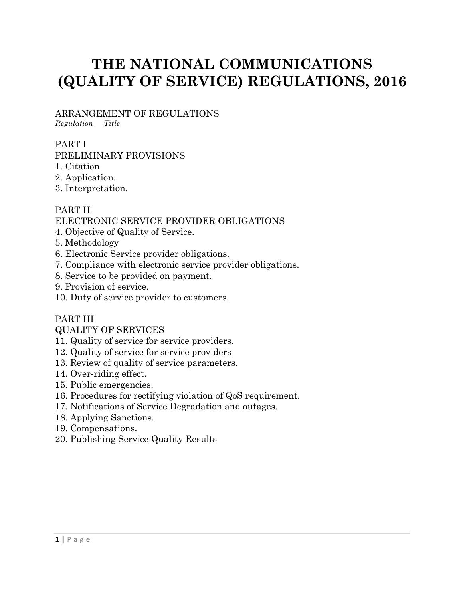# **THE NATIONAL COMMUNICATIONS (QUALITY OF SERVICE) REGULATIONS, 2016**

ARRANGEMENT OF REGULATIONS *Regulation Title* 

#### PART I

#### PRELIMINARY PROVISIONS

- 1. Citation.
- 2. Application.
- 3. Interpretation.

#### PART II

#### ELECTRONIC SERVICE PROVIDER OBLIGATIONS

- 4. Objective of Quality of Service.
- 5. Methodology
- 6. Electronic Service provider obligations.
- 7. Compliance with electronic service provider obligations.
- 8. Service to be provided on payment.
- 9. Provision of service.
- 10. Duty of service provider to customers.

#### PART III

#### QUALITY OF SERVICES

- 11. Quality of service for service providers.
- 12. Quality of service for service providers
- 13. Review of quality of service parameters.
- 14. Over-riding effect.
- 15. Public emergencies.
- 16. Procedures for rectifying violation of QoS requirement.
- 17. Notifications of Service Degradation and outages.
- 18. Applying Sanctions.
- 19. Compensations.
- 20. Publishing Service Quality Results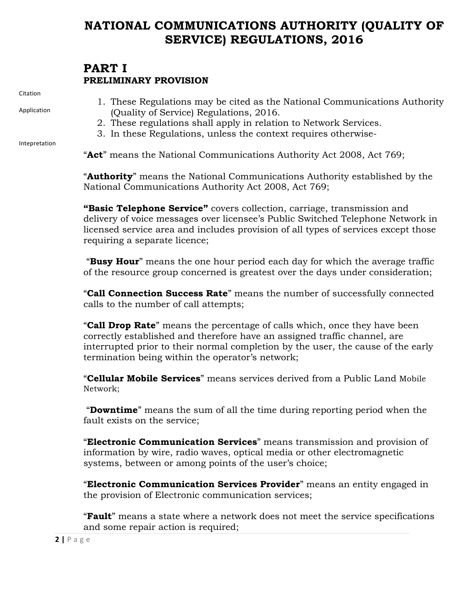## **NATIONAL COMMUNICATIONS AUTHORITY (QUALITY OF SERVICE) REGULATIONS, 2016**

### **PART I PRELIMINARY PROVISION**

Citation

Application

Intepretation

- 1. These Regulations may be cited as the National Communications Authority (Quality of Service) Regulations, 2016.
- 2. These regulations shall apply in relation to Network Services.
- 3. In these Regulations, unless the context requires otherwise-

"**Act**" means the National Communications Authority Act 2008, Act 769;

"**Authority**" means the National Communications Authority established by the National Communications Authority Act 2008, Act 769;

**"Basic Telephone Service"** covers collection, carriage, transmission and delivery of voice messages over licensee's Public Switched Telephone Network in licensed service area and includes provision of all types of services except those requiring a separate licence;

"**Busy Hour**" means the one hour period each day for which the average traffic of the resource group concerned is greatest over the days under consideration;

"**Call Connection Success Rate**" means the number of successfully connected calls to the number of call attempts;

"**Call Drop Rate**" means the percentage of calls which, once they have been correctly established and therefore have an assigned traffic channel, are interrupted prior to their normal completion by the user, the cause of the early termination being within the operator's network;

"**Cellular Mobile Services**" means services derived from a Public Land Mobile Network;

"**Downtime**" means the sum of all the time during reporting period when the fault exists on the service;

"**Electronic Communication Services**" means transmission and provision of information by wire, radio waves, optical media or other electromagnetic systems, between or among points of the user's choice;

"**Electronic Communication Services Provider**" means an entity engaged in the provision of Electronic communication services;

"**Fault**" means a state where a network does not meet the service specifications and some repair action is required;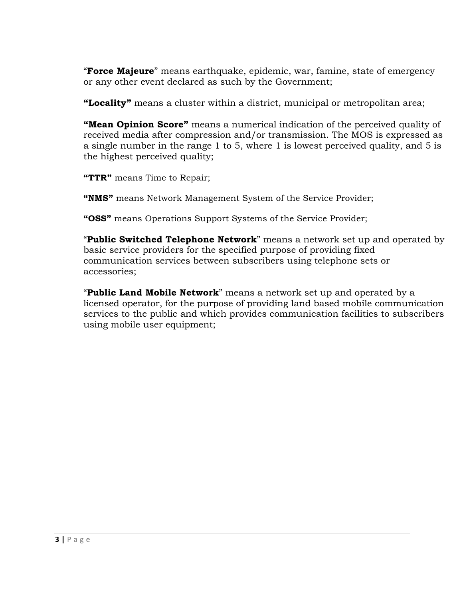"**Force Majeure**" means earthquake, epidemic, war, famine, state of emergency or any other event declared as such by the Government;

**"Locality"** means a cluster within a district, municipal or metropolitan area;

**"Mean Opinion Score"** means a numerical indication of the perceived quality of received media after compression and/or transmission. The MOS is expressed as a single number in the range 1 to 5, where 1 is lowest perceived quality, and 5 is the highest perceived quality;

**"TTR"** means Time to Repair;

**"NMS"** means Network Management System of the Service Provider;

**"OSS"** means Operations Support Systems of the Service Provider;

"**Public Switched Telephone Network**" means a network set up and operated by basic service providers for the specified purpose of providing fixed communication services between subscribers using telephone sets or accessories;

"**Public Land Mobile Network**" means a network set up and operated by a licensed operator, for the purpose of providing land based mobile communication services to the public and which provides communication facilities to subscribers using mobile user equipment;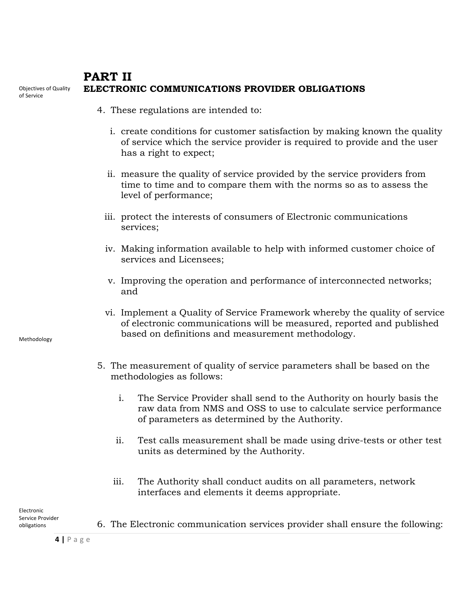#### Objectives of Quality **PART II ELECTRONIC COMMUNICATIONS PROVIDER OBLIGATIONS**

- 4. These regulations are intended to:
	- i. create conditions for customer satisfaction by making known the quality of service which the service provider is required to provide and the user has a right to expect;
	- ii. measure the quality of service provided by the service providers from time to time and to compare them with the norms so as to assess the level of performance;
	- iii. protect the interests of consumers of Electronic communications services;
	- iv. Making information available to help with informed customer choice of services and Licensees;
	- v. Improving the operation and performance of interconnected networks; and
	- vi. Implement a Quality of Service Framework whereby the quality of service of electronic communications will be measured, reported and published based on definitions and measurement methodology.
- 5. The measurement of quality of service parameters shall be based on the methodologies as follows:
	- i. The Service Provider shall send to the Authority on hourly basis the raw data from NMS and OSS to use to calculate service performance of parameters as determined by the Authority.
	- ii. Test calls measurement shall be made using drive-tests or other test units as determined by the Authority.
	- iii. The Authority shall conduct audits on all parameters, network interfaces and elements it deems appropriate.

Electronic Service Provider obligations

6. The Electronic communication services provider shall ensure the following:

**4 |** Page

Methodology

of Service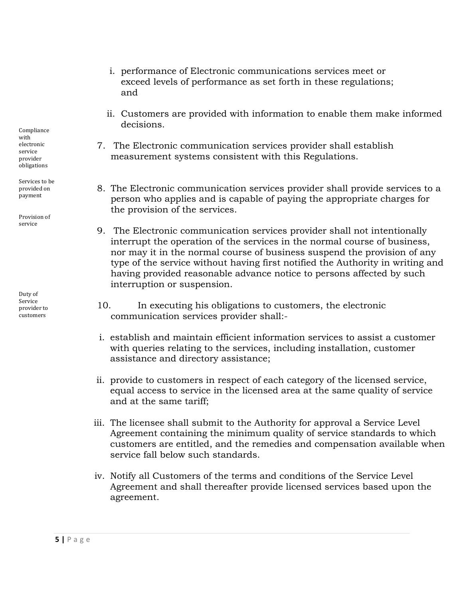- i. performance of Electronic communications services meet or exceed levels of performance as set forth in these regulations; and
- ii. Customers are provided with information to enable them make informed decisions.
- 7. The Electronic communication services provider shall establish measurement systems consistent with this Regulations.
- 8. The Electronic communication services provider shall provide services to a person who applies and is capable of paying the appropriate charges for the provision of the services.
- 9. The Electronic communication services provider shall not intentionally interrupt the operation of the services in the normal course of business, nor may it in the normal course of business suspend the provision of any type of the service without having first notified the Authority in writing and having provided reasonable advance notice to persons affected by such interruption or suspension.
- 10. In executing his obligations to customers, the electronic communication services provider shall:-
- i. establish and maintain efficient information services to assist a customer with queries relating to the services, including installation, customer assistance and directory assistance;
- ii. provide to customers in respect of each category of the licensed service, equal access to service in the licensed area at the same quality of service and at the same tariff;
- iii. The licensee shall submit to the Authority for approval a Service Level Agreement containing the minimum quality of service standards to which customers are entitled, and the remedies and compensation available when service fall below such standards.
- iv. Notify all Customers of the terms and conditions of the Service Level Agreement and shall thereafter provide licensed services based upon the agreement.

Compliance with electronic service provider obligations

Services to be provided on payment

Provision of service

Duty of Service provider to customers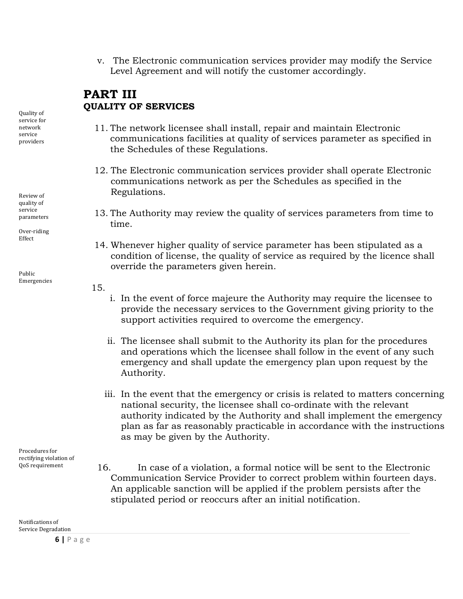v. The Electronic communication services provider may modify the Service Level Agreement and will notify the customer accordingly.

### **PART III QUALITY OF SERVICES**

- 11. The network licensee shall install, repair and maintain Electronic communications facilities at quality of services parameter as specified in the Schedules of these Regulations.
- 12. The Electronic communication services provider shall operate Electronic communications network as per the Schedules as specified in the Regulations.
- 13. The Authority may review the quality of services parameters from time to time.
- 14. Whenever higher quality of service parameter has been stipulated as a condition of license, the quality of service as required by the licence shall override the parameters given herein.
- 15.
- i. In the event of force majeure the Authority may require the licensee to provide the necessary services to the Government giving priority to the support activities required to overcome the emergency.
- ii. The licensee shall submit to the Authority its plan for the procedures and operations which the licensee shall follow in the event of any such emergency and shall update the emergency plan upon request by the Authority.
- iii. In the event that the emergency or crisis is related to matters concerning national security, the licensee shall co-ordinate with the relevant authority indicated by the Authority and shall implement the emergency plan as far as reasonably practicable in accordance with the instructions as may be given by the Authority.

Procedures for rectifying violation of QoS requirement

16. In case of a violation, a formal notice will be sent to the Electronic Communication Service Provider to correct problem within fourteen days. An applicable sanction will be applied if the problem persists after the stipulated period or reoccurs after an initial notification.

Notifications of Service Degradation

Quality of service for network service providers

Review of quality of service parameters

Over-riding Effect

Public Emergencies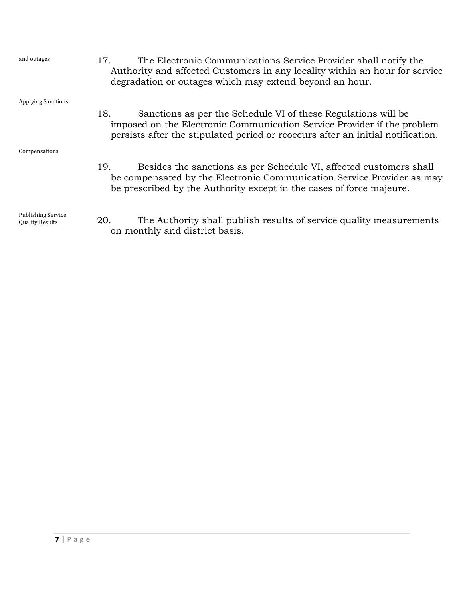| and outages                                         | The Electronic Communications Service Provider shall notify the<br>17.<br>Authority and affected Customers in any locality within an hour for service<br>degradation or outages which may extend beyond an hour.                   |
|-----------------------------------------------------|------------------------------------------------------------------------------------------------------------------------------------------------------------------------------------------------------------------------------------|
| <b>Applying Sanctions</b>                           |                                                                                                                                                                                                                                    |
|                                                     | 18.<br>Sanctions as per the Schedule VI of these Regulations will be<br>imposed on the Electronic Communication Service Provider if the problem<br>persists after the stipulated period or reoccurs after an initial notification. |
| Compensations                                       |                                                                                                                                                                                                                                    |
|                                                     | 19.<br>Besides the sanctions as per Schedule VI, affected customers shall<br>be compensated by the Electronic Communication Service Provider as may<br>be prescribed by the Authority except in the cases of force majeure.        |
| <b>Publishing Service</b><br><b>Quality Results</b> | The Authority shall publish results of service quality measurements<br>20.<br>on monthly and district basis.                                                                                                                       |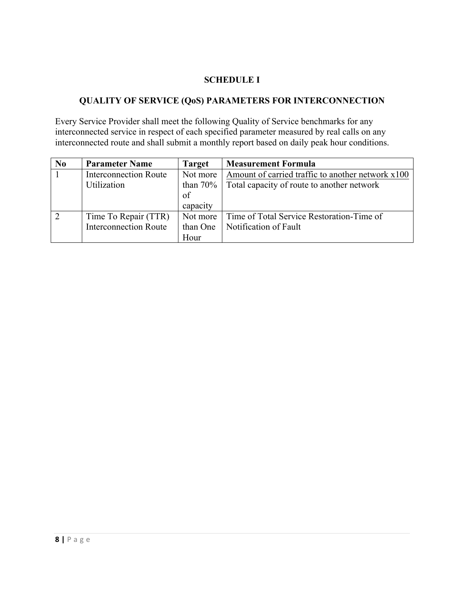#### **SCHEDULE I**

#### **QUALITY OF SERVICE (QoS) PARAMETERS FOR INTERCONNECTION**

Every Service Provider shall meet the following Quality of Service benchmarks for any interconnected service in respect of each specified parameter measured by real calls on any interconnected route and shall submit a monthly report based on daily peak hour conditions.

| N <sub>0</sub> | <b>Parameter Name</b>        | <b>Target</b> | <b>Measurement Formula</b>                        |
|----------------|------------------------------|---------------|---------------------------------------------------|
|                | <b>Interconnection Route</b> | Not more      | Amount of carried traffic to another network x100 |
|                | Utilization                  | than $70%$    | Total capacity of route to another network        |
|                |                              | of            |                                                   |
|                |                              | capacity      |                                                   |
|                | Time To Repair (TTR)         | Not more      | Time of Total Service Restoration-Time of         |
|                | <b>Interconnection Route</b> | than One      | Notification of Fault                             |
|                |                              | Hour          |                                                   |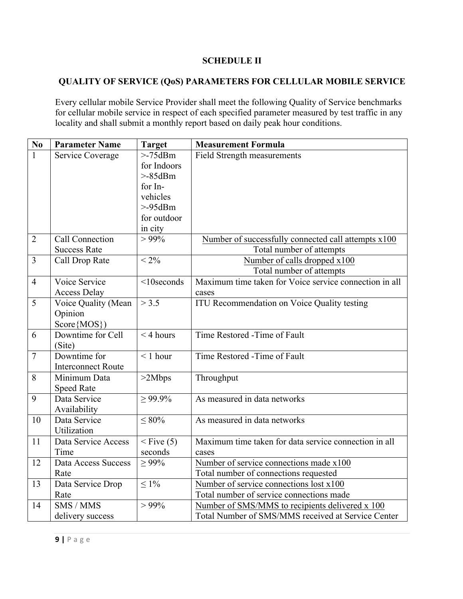#### **SCHEDULE II**

#### **QUALITY OF SERVICE (QoS) PARAMETERS FOR CELLULAR MOBILE SERVICE**

Every cellular mobile Service Provider shall meet the following Quality of Service benchmarks for cellular mobile service in respect of each specified parameter measured by test traffic in any locality and shall submit a monthly report based on daily peak hour conditions.

| $\mathbf{N}\mathbf{o}$ | <b>Parameter Name</b>     | <b>Target</b> | <b>Measurement Formula</b>                             |
|------------------------|---------------------------|---------------|--------------------------------------------------------|
| 1                      | Service Coverage          | $>$ -75dBm    | <b>Field Strength measurements</b>                     |
|                        |                           | for Indoors   |                                                        |
|                        |                           | $>$ -85dBm    |                                                        |
|                        |                           | for In-       |                                                        |
|                        |                           | vehicles      |                                                        |
|                        |                           | $> -95$ dBm   |                                                        |
|                        |                           | for outdoor   |                                                        |
|                        |                           | in city       |                                                        |
| $\overline{2}$         | <b>Call Connection</b>    | $> 99\%$      | Number of successfully connected call attempts x100    |
|                        | <b>Success Rate</b>       |               | Total number of attempts                               |
| $\overline{3}$         | Call Drop Rate            | $< 2\%$       | Number of calls dropped x100                           |
|                        |                           |               | Total number of attempts                               |
| $\overline{4}$         | Voice Service             | $<$ 10seconds | Maximum time taken for Voice service connection in all |
|                        | <b>Access Delay</b>       |               | cases                                                  |
| 5                      | Voice Quality (Mean       | > 3.5         | <b>ITU Recommendation on Voice Quality testing</b>     |
|                        | Opinion                   |               |                                                        |
|                        | Score {MOS})              |               |                                                        |
| 6                      | Downtime for Cell         | $<$ 4 hours   | Time Restored -Time of Fault                           |
|                        | (Site)                    |               |                                                        |
| $\overline{7}$         | Downtime for              | $< 1$ hour    | Time Restored -Time of Fault                           |
|                        | <b>Interconnect Route</b> |               |                                                        |
| 8                      | Minimum Data              | >2Mbps        | Throughput                                             |
|                        | <b>Speed Rate</b>         |               |                                                        |
| 9                      | Data Service              | $> 99.9\%$    | As measured in data networks                           |
|                        | Availability              |               |                                                        |
| 10                     | Data Service              | $\leq 80\%$   | As measured in data networks                           |
|                        | Utilization               |               |                                                        |
| 11                     | Data Service Access       | $<$ Five (5)  | Maximum time taken for data service connection in all  |
|                        | Time                      | seconds       | cases                                                  |
| 12                     | Data Access Success       | $\geq 99\%$   | Number of service connections made x100                |
|                        | Rate                      |               | Total number of connections requested                  |
| 13                     | Data Service Drop         | $\leq 1\%$    | Number of service connections lost x100                |
|                        | Rate                      |               | Total number of service connections made               |
| 14                     | SMS / MMS                 | $> 99\%$      | Number of SMS/MMS to recipients delivered x 100        |
|                        | delivery success          |               | Total Number of SMS/MMS received at Service Center     |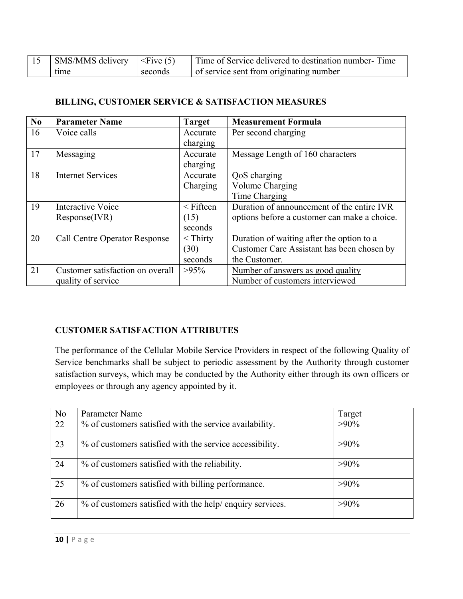| $\vert$ SMS/MMS delivery $\vert$ <five (5)<="" th=""><th></th><th>Time of Service delivered to destination number-Time</th></five> |         | Time of Service delivered to destination number-Time |
|------------------------------------------------------------------------------------------------------------------------------------|---------|------------------------------------------------------|
| time                                                                                                                               | seconds | of service sent from originating number              |

#### **BILLING, CUSTOMER SERVICE & SATISFACTION MEASURES**

| No | <b>Parameter Name</b>                | <b>Target</b>  | <b>Measurement Formula</b>                   |
|----|--------------------------------------|----------------|----------------------------------------------|
| 16 | Voice calls                          | Accurate       | Per second charging                          |
|    |                                      | charging       |                                              |
| 17 | Messaging                            | Accurate       | Message Length of 160 characters             |
|    |                                      | charging       |                                              |
| 18 | <b>Internet Services</b>             | Accurate       | QoS charging                                 |
|    |                                      | Charging       | Volume Charging                              |
|    |                                      |                | Time Charging                                |
| 19 | <b>Interactive Voice</b>             | $\leq$ Fifteen | Duration of announcement of the entire IVR   |
|    | Response(IVR)                        | (15)           | options before a customer can make a choice. |
|    |                                      | seconds        |                                              |
| 20 | <b>Call Centre Operator Response</b> | $<$ Thirty     | Duration of waiting after the option to a    |
|    |                                      | (30)           | Customer Care Assistant has been chosen by   |
|    |                                      | seconds        | the Customer.                                |
| 21 | Customer satisfaction on overall     | $>95\%$        | Number of answers as good quality            |
|    | quality of service                   |                | Number of customers interviewed              |

#### **CUSTOMER SATISFACTION ATTRIBUTES**

The performance of the Cellular Mobile Service Providers in respect of the following Quality of Service benchmarks shall be subject to periodic assessment by the Authority through customer satisfaction surveys, which may be conducted by the Authority either through its own officers or employees or through any agency appointed by it.

| N <sub>o</sub> | Parameter Name                                            | Target  |
|----------------|-----------------------------------------------------------|---------|
| 22             | % of customers satisfied with the service availability.   | $>90\%$ |
| 23             | % of customers satisfied with the service accessibility.  | $>90\%$ |
| 24             | % of customers satisfied with the reliability.            | $>90\%$ |
| 25             | % of customers satisfied with billing performance.        | $>90\%$ |
| 26             | % of customers satisfied with the help/ enquiry services. | $>90\%$ |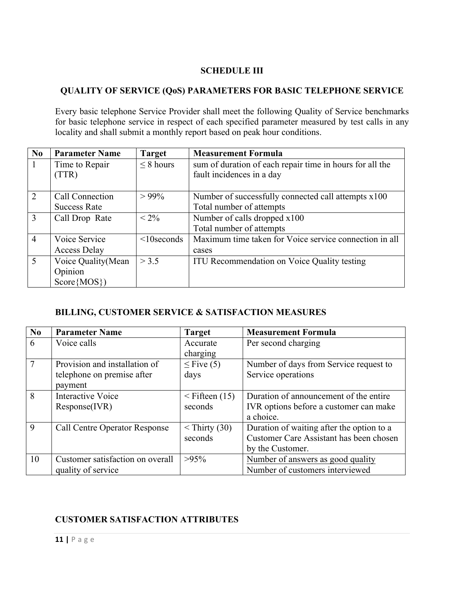#### **SCHEDULE III**

#### **QUALITY OF SERVICE (QoS) PARAMETERS FOR BASIC TELEPHONE SERVICE**

Every basic telephone Service Provider shall meet the following Quality of Service benchmarks for basic telephone service in respect of each specified parameter measured by test calls in any locality and shall submit a monthly report based on peak hour conditions.

| No             | <b>Parameter Name</b> | <b>Target</b>    | <b>Measurement Formula</b>                               |  |
|----------------|-----------------------|------------------|----------------------------------------------------------|--|
|                | Time to Repair        | $\leq$ 8 hours   | sum of duration of each repair time in hours for all the |  |
|                | (TTR)                 |                  | fault incidences in a day                                |  |
|                |                       |                  |                                                          |  |
| 2              | Call Connection       | $> 99\%$         | Number of successfully connected call attempts x100      |  |
|                | <b>Success Rate</b>   |                  | Total number of attempts                                 |  |
| 3              | Call Drop Rate        | $< 2\%$          | Number of calls dropped x100                             |  |
|                |                       |                  | Total number of attempts                                 |  |
| $\overline{4}$ | Voice Service         | $\leq$ 10seconds | Maximum time taken for Voice service connection in all   |  |
|                | Access Delay          |                  | cases                                                    |  |
| 5              | Voice Quality (Mean   | > 3.5            | ITU Recommendation on Voice Quality testing              |  |
|                | Opinion               |                  |                                                          |  |
|                | $Score\{MOS\})$       |                  |                                                          |  |

#### **BILLING, CUSTOMER SERVICE & SATISFACTION MEASURES**

| N <sub>0</sub> | <b>Parameter Name</b>                | <b>Target</b>       | <b>Measurement Formula</b>                |
|----------------|--------------------------------------|---------------------|-------------------------------------------|
| 6              | Voice calls                          | Accurate            | Per second charging                       |
|                |                                      | charging            |                                           |
|                | Provision and installation of        | $\leq$ Five (5)     | Number of days from Service request to    |
|                | telephone on premise after           | days                | Service operations                        |
|                | payment                              |                     |                                           |
| 8              | <b>Interactive Voice</b>             | $\leq$ Fifteen (15) | Duration of announcement of the entire    |
|                | Response(IVR)                        | seconds             | IVR options before a customer can make    |
|                |                                      |                     | a choice.                                 |
| 9              | <b>Call Centre Operator Response</b> | $\le$ Thirty (30)   | Duration of waiting after the option to a |
|                |                                      | seconds             | Customer Care Assistant has been chosen   |
|                |                                      |                     | by the Customer.                          |
| 10             | Customer satisfaction on overall     | $>95\%$             | Number of answers as good quality         |
|                | quality of service                   |                     | Number of customers interviewed           |

#### **CUSTOMER SATISFACTION ATTRIBUTES**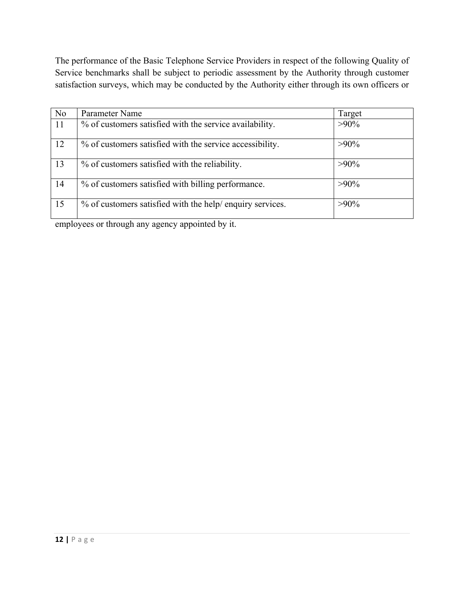The performance of the Basic Telephone Service Providers in respect of the following Quality of Service benchmarks shall be subject to periodic assessment by the Authority through customer satisfaction surveys, which may be conducted by the Authority either through its own officers or

| N <sub>o</sub> | Parameter Name                                            | Target  |
|----------------|-----------------------------------------------------------|---------|
| 11             | % of customers satisfied with the service availability.   | $>90\%$ |
| 12             | % of customers satisfied with the service accessibility.  | $>90\%$ |
| 13             | % of customers satisfied with the reliability.            | $>90\%$ |
| 14             | % of customers satisfied with billing performance.        | $>90\%$ |
| 15             | % of customers satisfied with the help/ enquiry services. | $>90\%$ |

employees or through any agency appointed by it.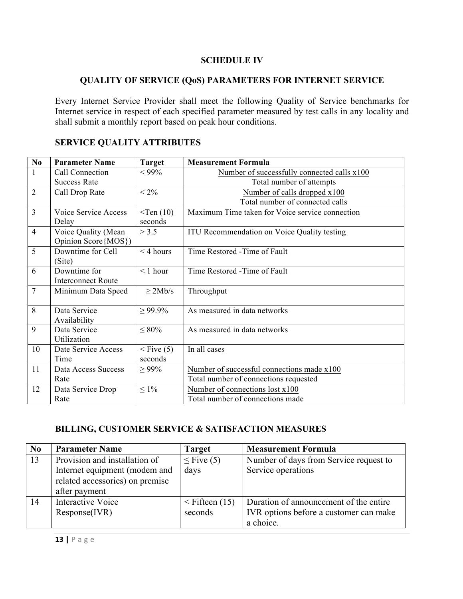#### **SCHEDULE IV**

#### **QUALITY OF SERVICE (QoS) PARAMETERS FOR INTERNET SERVICE**

Every Internet Service Provider shall meet the following Quality of Service benchmarks for Internet service in respect of each specified parameter measured by test calls in any locality and shall submit a monthly report based on peak hour conditions.

| $\bf No$                | <b>Parameter Name</b>                       | <b>Target</b> | <b>Measurement Formula</b>                      |  |
|-------------------------|---------------------------------------------|---------------|-------------------------------------------------|--|
| $\mathbf{1}$            | Call Connection                             | $< 99\%$      | Number of successfully connected calls x100     |  |
|                         | <b>Success Rate</b>                         |               | Total number of attempts                        |  |
| $\overline{2}$          | Call Drop Rate                              | $< 2\%$       | Number of calls dropped x100                    |  |
|                         |                                             |               | Total number of connected calls                 |  |
| $\overline{\mathbf{3}}$ | Voice Service Access                        | $<$ Ten (10)  | Maximum Time taken for Voice service connection |  |
|                         | Delay                                       | seconds       |                                                 |  |
| $\overline{4}$          | Voice Quality (Mean<br>Opinion Score {MOS}) | > 3.5         | ITU Recommendation on Voice Quality testing     |  |
| 5                       | Downtime for Cell<br>(Site)                 | $<$ 4 hours   | Time Restored -Time of Fault                    |  |
| 6                       | Downtime for                                | $< 1$ hour    | Time Restored -Time of Fault                    |  |
|                         | <b>Interconnect Route</b>                   |               |                                                 |  |
| $\overline{7}$          | Minimum Data Speed                          | $\geq$ 2Mb/s  | Throughput                                      |  |
| 8                       | Data Service<br>Availability                | $\geq 99.9\%$ | As measured in data networks                    |  |
| 9                       | Data Service<br>Utilization                 | $\leq 80\%$   | As measured in data networks                    |  |
| 10                      | Date Service Access                         | $<$ Five (5)  | In all cases                                    |  |
|                         | Time                                        | seconds       |                                                 |  |
| 11                      | Data Access Success                         | $\geq 99\%$   | Number of successful connections made x100      |  |
|                         | Rate                                        |               | Total number of connections requested           |  |
| 12                      | Data Service Drop                           | $\leq 1\%$    | Number of connections lost x100                 |  |
|                         | Rate                                        |               | Total number of connections made                |  |

#### **SERVICE QUALITY ATTRIBUTES**

#### **BILLING, CUSTOMER SERVICE & SATISFACTION MEASURES**

| No | <b>Parameter Name</b>                                                                                              | <b>Target</b>                  | <b>Measurement Formula</b>                                                                    |
|----|--------------------------------------------------------------------------------------------------------------------|--------------------------------|-----------------------------------------------------------------------------------------------|
| 13 | Provision and installation of<br>Internet equipment (modem and<br>related accessories) on premise<br>after payment | $\leq$ Five (5)<br>days        | Number of days from Service request to<br>Service operations                                  |
| 14 | Interactive Voice<br>Response(IVR)                                                                                 | $\leq$ Fifteen (15)<br>seconds | Duration of announcement of the entire<br>IVR options before a customer can make<br>a choice. |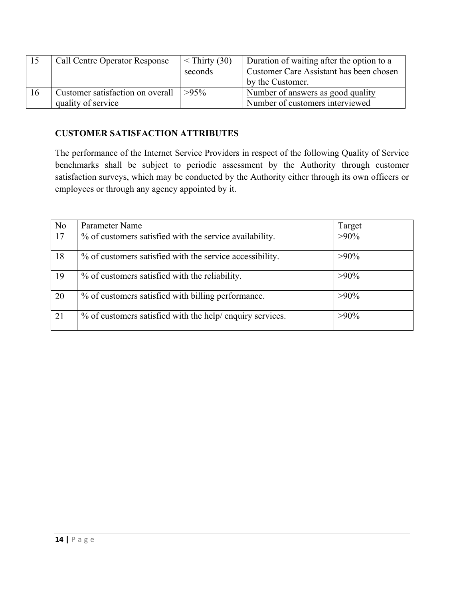|    | <b>Call Centre Operator Response</b>                   | $\le$ Thirty (30)<br>seconds | Duration of waiting after the option to a<br>Customer Care Assistant has been chosen<br>by the Customer. |
|----|--------------------------------------------------------|------------------------------|----------------------------------------------------------------------------------------------------------|
| 16 | Customer satisfaction on overall<br>quality of service | $>95\%$                      | Number of answers as good quality<br>Number of customers interviewed                                     |

#### **CUSTOMER SATISFACTION ATTRIBUTES**

The performance of the Internet Service Providers in respect of the following Quality of Service benchmarks shall be subject to periodic assessment by the Authority through customer satisfaction surveys, which may be conducted by the Authority either through its own officers or employees or through any agency appointed by it.

| N <sub>o</sub> | Parameter Name                                            | Target  |
|----------------|-----------------------------------------------------------|---------|
| 17             | % of customers satisfied with the service availability.   | $>90\%$ |
| 18             | % of customers satisfied with the service accessibility.  | $>90\%$ |
| 19             | % of customers satisfied with the reliability.            | $>90\%$ |
| 20             | % of customers satisfied with billing performance.        | $>90\%$ |
| 21             | % of customers satisfied with the help/ enquiry services. | $>90\%$ |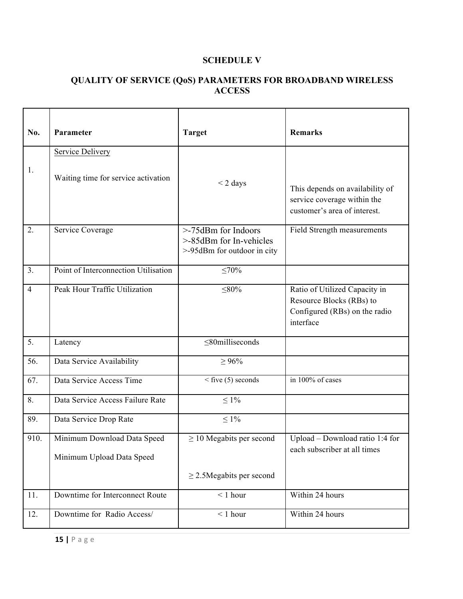#### **SCHEDULE V**

#### **QUALITY OF SERVICE (QoS) PARAMETERS FOR BROADBAND WIRELESS ACCESS**

| No.            | Parameter                                                | <b>Target</b>                                                                 | <b>Remarks</b>                                                                                          |
|----------------|----------------------------------------------------------|-------------------------------------------------------------------------------|---------------------------------------------------------------------------------------------------------|
|                | <b>Service Delivery</b>                                  |                                                                               |                                                                                                         |
| 1.             | Waiting time for service activation                      | $<$ 2 days                                                                    | This depends on availability of<br>service coverage within the<br>customer's area of interest.          |
| 2.             | Service Coverage                                         | >-75dBm for Indoors<br>>-85dBm for In-vehicles<br>>-95dBm for outdoor in city | Field Strength measurements                                                                             |
| 3.             | Point of Interconnection Utilisation                     | ≤70%                                                                          |                                                                                                         |
| $\overline{4}$ | Peak Hour Traffic Utilization                            | $\leq 80\%$                                                                   | Ratio of Utilized Capacity in<br>Resource Blocks (RBs) to<br>Configured (RBs) on the radio<br>interface |
| 5.             | Latency                                                  | $\leq$ 80milliseconds                                                         |                                                                                                         |
| 56.            | Data Service Availability                                | $\geq 96\%$                                                                   |                                                                                                         |
| 67.            | Data Service Access Time                                 | $\leq$ five (5) seconds                                                       | in 100% of cases                                                                                        |
| 8.             | Data Service Access Failure Rate                         | $\leq 1\%$                                                                    |                                                                                                         |
| 89.            | Data Service Drop Rate                                   | $\leq 1\%$                                                                    |                                                                                                         |
| 910.           | Minimum Download Data Speed<br>Minimum Upload Data Speed | $\geq$ 10 Megabits per second                                                 | Upload - Download ratio 1:4 for<br>each subscriber at all times                                         |
|                |                                                          | $\geq$ 2.5Megabits per second                                                 |                                                                                                         |
| 11.            | Downtime for Interconnect Route                          | $< 1$ hour                                                                    | Within 24 hours                                                                                         |
| 12.            | Downtime for Radio Access/                               | $< 1$ hour                                                                    | Within 24 hours                                                                                         |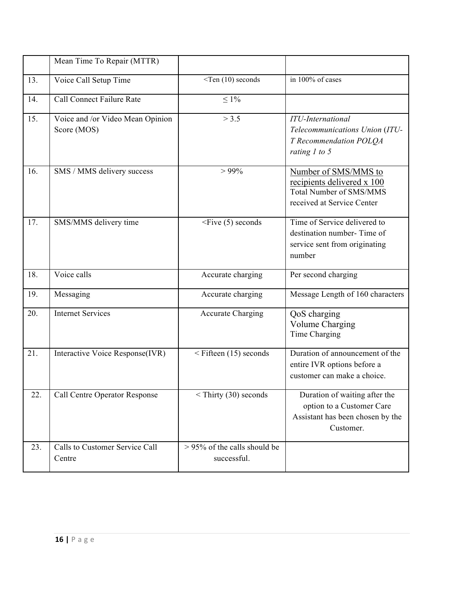|                   | Mean Time To Repair (MTTR)                      |                                                |                                                                                                                    |
|-------------------|-------------------------------------------------|------------------------------------------------|--------------------------------------------------------------------------------------------------------------------|
| 13.               | Voice Call Setup Time                           | $\le$ Ten (10) seconds                         | in 100% of cases                                                                                                   |
| $\overline{14}$ . | <b>Call Connect Failure Rate</b>                | $\leq 1\%$                                     |                                                                                                                    |
| 15.               | Voice and /or Video Mean Opinion<br>Score (MOS) | > 3.5                                          | <b>ITU-International</b><br>Telecommunications Union (ITU-<br>T Recommendation POLQA<br>rating $1$ to 5            |
| 16.               | SMS / MMS delivery success                      | $> 99\%$                                       | Number of SMS/MMS to<br>recipients delivered x 100<br><b>Total Number of SMS/MMS</b><br>received at Service Center |
| 17.               | SMS/MMS delivery time                           | $\leq$ Five (5) seconds                        | Time of Service delivered to<br>destination number-Time of<br>service sent from originating<br>number              |
| 18.               | Voice calls                                     | Accurate charging                              | Per second charging                                                                                                |
| 19.               | Messaging                                       | Accurate charging                              | Message Length of 160 characters                                                                                   |
| 20.               | <b>Internet Services</b>                        | <b>Accurate Charging</b>                       | QoS charging<br><b>Volume Charging</b><br>Time Charging                                                            |
| 21.               | Interactive Voice Response(IVR)                 | $\leq$ Fifteen (15) seconds                    | Duration of announcement of the<br>entire IVR options before a<br>customer can make a choice.                      |
| 22.               | <b>Call Centre Operator Response</b>            | $\le$ Thirty (30) seconds                      | Duration of waiting after the<br>option to a Customer Care<br>Assistant has been chosen by the<br>Customer.        |
| 23.               | Calls to Customer Service Call<br>Centre        | $> 95\%$ of the calls should be<br>successful. |                                                                                                                    |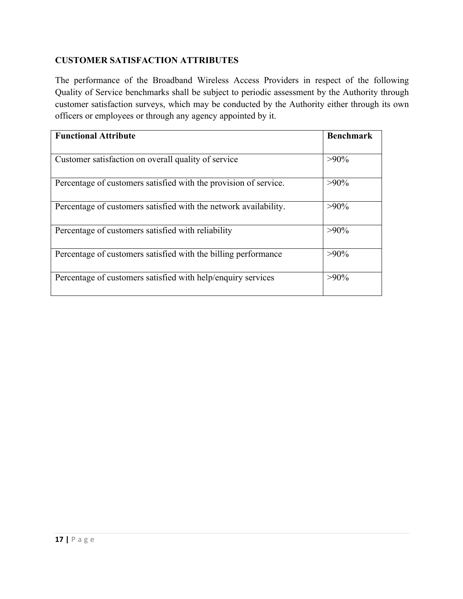#### **CUSTOMER SATISFACTION ATTRIBUTES**

The performance of the Broadband Wireless Access Providers in respect of the following Quality of Service benchmarks shall be subject to periodic assessment by the Authority through customer satisfaction surveys, which may be conducted by the Authority either through its own officers or employees or through any agency appointed by it.

| <b>Functional Attribute</b>                                      | <b>Benchmark</b> |
|------------------------------------------------------------------|------------------|
|                                                                  |                  |
| Customer satisfaction on overall quality of service              | $>90\%$          |
| Percentage of customers satisfied with the provision of service. | $>90\%$          |
| Percentage of customers satisfied with the network availability. | $>90\%$          |
| Percentage of customers satisfied with reliability               | $>90\%$          |
| Percentage of customers satisfied with the billing performance   | $>90\%$          |
| Percentage of customers satisfied with help/enquiry services     | $>90\%$          |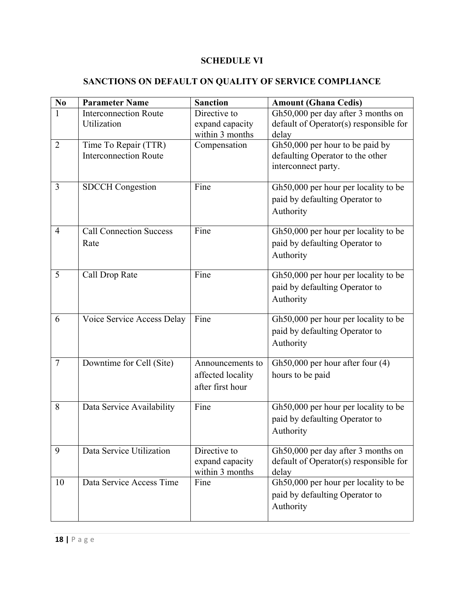### **SCHEDULE VI**

### **SANCTIONS ON DEFAULT ON QUALITY OF SERVICE COMPLIANCE**

| $\bf{N0}$      | <b>Parameter Name</b>                                | <b>Sanction</b>                                           | <b>Amount (Ghana Cedis)</b>                                                                |
|----------------|------------------------------------------------------|-----------------------------------------------------------|--------------------------------------------------------------------------------------------|
| 1              | <b>Interconnection Route</b><br>Utilization          | Directive to<br>expand capacity<br>within 3 months        | Gh50,000 per day after 3 months on<br>default of Operator(s) responsible for<br>delay      |
| $\overline{2}$ | Time To Repair (TTR)<br><b>Interconnection Route</b> | Compensation                                              | Gh50,000 per hour to be paid by<br>defaulting Operator to the other<br>interconnect party. |
| 3              | <b>SDCCH</b> Congestion                              | Fine                                                      | Gh50,000 per hour per locality to be<br>paid by defaulting Operator to<br>Authority        |
| 4              | <b>Call Connection Success</b><br>Rate               | Fine                                                      | Gh50,000 per hour per locality to be<br>paid by defaulting Operator to<br>Authority        |
| 5              | Call Drop Rate                                       | Fine                                                      | Gh50,000 per hour per locality to be<br>paid by defaulting Operator to<br>Authority        |
| 6              | Voice Service Access Delay                           | Fine                                                      | Gh50,000 per hour per locality to be<br>paid by defaulting Operator to<br>Authority        |
| $\tau$         | Downtime for Cell (Site)                             | Announcements to<br>affected locality<br>after first hour | Gh50,000 per hour after four $(4)$<br>hours to be paid                                     |
| 8              | Data Service Availability                            | Fine                                                      | Gh50,000 per hour per locality to be<br>paid by defaulting Operator to<br>Authority        |
| 9              | Data Service Utilization                             | Directive to<br>expand capacity<br>within 3 months        | Gh50,000 per day after 3 months on<br>default of Operator(s) responsible for<br>delay      |
| 10             | Data Service Access Time                             | Fine                                                      | Gh50,000 per hour per locality to be<br>paid by defaulting Operator to<br>Authority        |